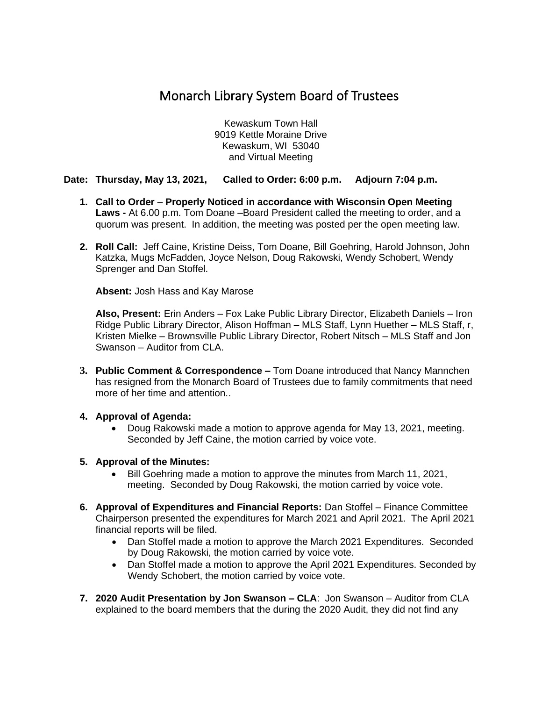## Monarch Library System Board of Trustees

Kewaskum Town Hall 9019 Kettle Moraine Drive Kewaskum, WI 53040 and Virtual Meeting

## **Date: Thursday, May 13, 2021, Called to Order: 6:00 p.m. Adjourn 7:04 p.m.**

- **1. Call to Order Properly Noticed in accordance with Wisconsin Open Meeting Laws -** At 6.00 p.m. Tom Doane –Board President called the meeting to order, and a quorum was present. In addition, the meeting was posted per the open meeting law.
- **2. Roll Call:** Jeff Caine, Kristine Deiss, Tom Doane, Bill Goehring, Harold Johnson, John Katzka, Mugs McFadden, Joyce Nelson, Doug Rakowski, Wendy Schobert, Wendy Sprenger and Dan Stoffel.

**Absent:** Josh Hass and Kay Marose

**Also, Present:** Erin Anders – Fox Lake Public Library Director, Elizabeth Daniels – Iron Ridge Public Library Director, Alison Hoffman – MLS Staff, Lynn Huether – MLS Staff, r, Kristen Mielke – Brownsville Public Library Director, Robert Nitsch – MLS Staff and Jon Swanson – Auditor from CLA.

- **3. Public Comment & Correspondence –** Tom Doane introduced that Nancy Mannchen has resigned from the Monarch Board of Trustees due to family commitments that need more of her time and attention..
- **4. Approval of Agenda:**
	- Doug Rakowski made a motion to approve agenda for May 13, 2021, meeting. Seconded by Jeff Caine, the motion carried by voice vote.
- **5. Approval of the Minutes:**
	- Bill Goehring made a motion to approve the minutes from March 11, 2021, meeting. Seconded by Doug Rakowski, the motion carried by voice vote.
- **6. Approval of Expenditures and Financial Reports:** Dan Stoffel Finance Committee Chairperson presented the expenditures for March 2021 and April 2021. The April 2021 financial reports will be filed.
	- Dan Stoffel made a motion to approve the March 2021 Expenditures. Seconded by Doug Rakowski, the motion carried by voice vote.
	- Dan Stoffel made a motion to approve the April 2021 Expenditures. Seconded by Wendy Schobert, the motion carried by voice vote.
- **7. 2020 Audit Presentation by Jon Swanson – CLA**: Jon Swanson Auditor from CLA explained to the board members that the during the 2020 Audit, they did not find any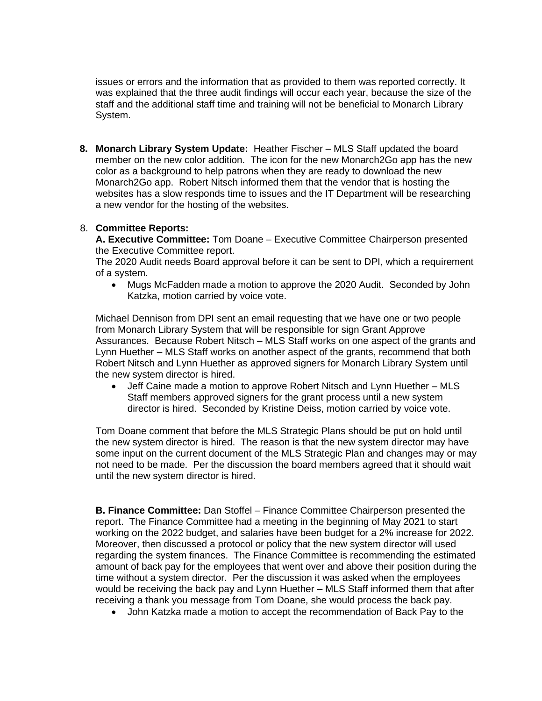issues or errors and the information that as provided to them was reported correctly. It was explained that the three audit findings will occur each year, because the size of the staff and the additional staff time and training will not be beneficial to Monarch Library System.

**8. Monarch Library System Update:** Heather Fischer – MLS Staff updated the board member on the new color addition. The icon for the new Monarch2Go app has the new color as a background to help patrons when they are ready to download the new Monarch2Go app. Robert Nitsch informed them that the vendor that is hosting the websites has a slow responds time to issues and the IT Department will be researching a new vendor for the hosting of the websites.

## 8. **Committee Reports:**

**A. Executive Committee:** Tom Doane – Executive Committee Chairperson presented the Executive Committee report.

The 2020 Audit needs Board approval before it can be sent to DPI, which a requirement of a system.

• Mugs McFadden made a motion to approve the 2020 Audit. Seconded by John Katzka, motion carried by voice vote.

Michael Dennison from DPI sent an email requesting that we have one or two people from Monarch Library System that will be responsible for sign Grant Approve Assurances. Because Robert Nitsch – MLS Staff works on one aspect of the grants and Lynn Huether – MLS Staff works on another aspect of the grants, recommend that both Robert Nitsch and Lynn Huether as approved signers for Monarch Library System until the new system director is hired.

• Jeff Caine made a motion to approve Robert Nitsch and Lynn Huether – MLS Staff members approved signers for the grant process until a new system director is hired. Seconded by Kristine Deiss, motion carried by voice vote.

Tom Doane comment that before the MLS Strategic Plans should be put on hold until the new system director is hired. The reason is that the new system director may have some input on the current document of the MLS Strategic Plan and changes may or may not need to be made. Per the discussion the board members agreed that it should wait until the new system director is hired.

**B. Finance Committee:** Dan Stoffel – Finance Committee Chairperson presented the report. The Finance Committee had a meeting in the beginning of May 2021 to start working on the 2022 budget, and salaries have been budget for a 2% increase for 2022. Moreover, then discussed a protocol or policy that the new system director will used regarding the system finances. The Finance Committee is recommending the estimated amount of back pay for the employees that went over and above their position during the time without a system director. Per the discussion it was asked when the employees would be receiving the back pay and Lynn Huether – MLS Staff informed them that after receiving a thank you message from Tom Doane, she would process the back pay.

• John Katzka made a motion to accept the recommendation of Back Pay to the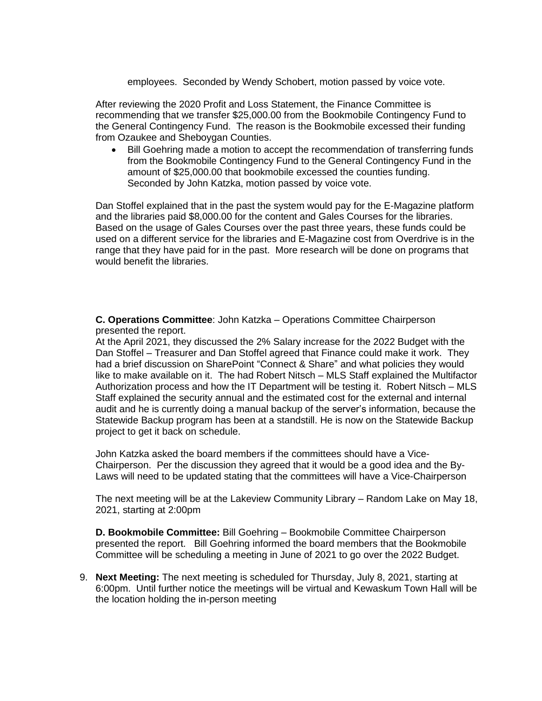employees. Seconded by Wendy Schobert, motion passed by voice vote.

After reviewing the 2020 Profit and Loss Statement, the Finance Committee is recommending that we transfer \$25,000.00 from the Bookmobile Contingency Fund to the General Contingency Fund. The reason is the Bookmobile excessed their funding from Ozaukee and Sheboygan Counties.

• Bill Goehring made a motion to accept the recommendation of transferring funds from the Bookmobile Contingency Fund to the General Contingency Fund in the amount of \$25,000.00 that bookmobile excessed the counties funding. Seconded by John Katzka, motion passed by voice vote.

Dan Stoffel explained that in the past the system would pay for the E-Magazine platform and the libraries paid \$8,000.00 for the content and Gales Courses for the libraries. Based on the usage of Gales Courses over the past three years, these funds could be used on a different service for the libraries and E-Magazine cost from Overdrive is in the range that they have paid for in the past. More research will be done on programs that would benefit the libraries.

**C. Operations Committee**: John Katzka – Operations Committee Chairperson presented the report.

At the April 2021, they discussed the 2% Salary increase for the 2022 Budget with the Dan Stoffel – Treasurer and Dan Stoffel agreed that Finance could make it work. They had a brief discussion on SharePoint "Connect & Share" and what policies they would like to make available on it. The had Robert Nitsch – MLS Staff explained the Multifactor Authorization process and how the IT Department will be testing it. Robert Nitsch – MLS Staff explained the security annual and the estimated cost for the external and internal audit and he is currently doing a manual backup of the server's information, because the Statewide Backup program has been at a standstill. He is now on the Statewide Backup project to get it back on schedule.

John Katzka asked the board members if the committees should have a Vice-Chairperson. Per the discussion they agreed that it would be a good idea and the By-Laws will need to be updated stating that the committees will have a Vice-Chairperson

The next meeting will be at the Lakeview Community Library – Random Lake on May 18, 2021, starting at 2:00pm

**D. Bookmobile Committee:** Bill Goehring – Bookmobile Committee Chairperson presented the report. Bill Goehring informed the board members that the Bookmobile Committee will be scheduling a meeting in June of 2021 to go over the 2022 Budget.

9. **Next Meeting:** The next meeting is scheduled for Thursday, July 8, 2021, starting at 6:00pm. Until further notice the meetings will be virtual and Kewaskum Town Hall will be the location holding the in-person meeting